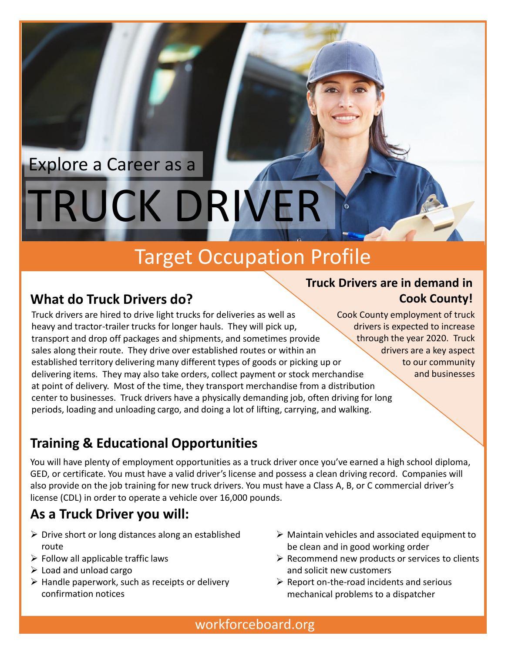# TRUCK DRIVER Explore a Career as a

## Target Occupation Profile

## **What do Truck Drivers do?**

Truck drivers are hired to drive light trucks for deliveries as well as heavy and tractor-trailer trucks for longer hauls. They will pick up, transport and drop off packages and shipments, and sometimes provide sales along their route. They drive over established routes or within an established territory delivering many different types of goods or picking up or delivering items. They may also take orders, collect payment or stock merchandise at point of delivery. Most of the time, they transport merchandise from a distribution center to businesses. Truck drivers have a physically demanding job, often driving for long periods, loading and unloading cargo, and doing a lot of lifting, carrying, and walking.

#### **Truck Drivers are in demand in Cook County!**

Cook County employment of truck drivers is expected to increase through the year 2020. Truck drivers are a key aspect to our community and businesses

## **Training & Educational Opportunities**

You will have plenty of employment opportunities as a truck driver once you've earned a high school diploma, GED, or certificate. You must have a valid driver's license and possess a clean driving record. Companies will also provide on the job training for new truck drivers. You must have a Class A, B, or C commercial driver's license (CDL) in order to operate a vehicle over 16,000 pounds.

## **As a Truck Driver you will:**

- $\triangleright$  Drive short or long distances along an established route
- $\triangleright$  Follow all applicable traffic laws
- $\triangleright$  Load and unload cargo
- $\triangleright$  Handle paperwork, such as receipts or delivery confirmation notices
- $\triangleright$  Maintain vehicles and associated equipment to be clean and in good working order
- $\triangleright$  Recommend new products or services to clients and solicit new customers
- $\triangleright$  Report on-the-road incidents and serious mechanical problems to a dispatcher

workforceboard.org